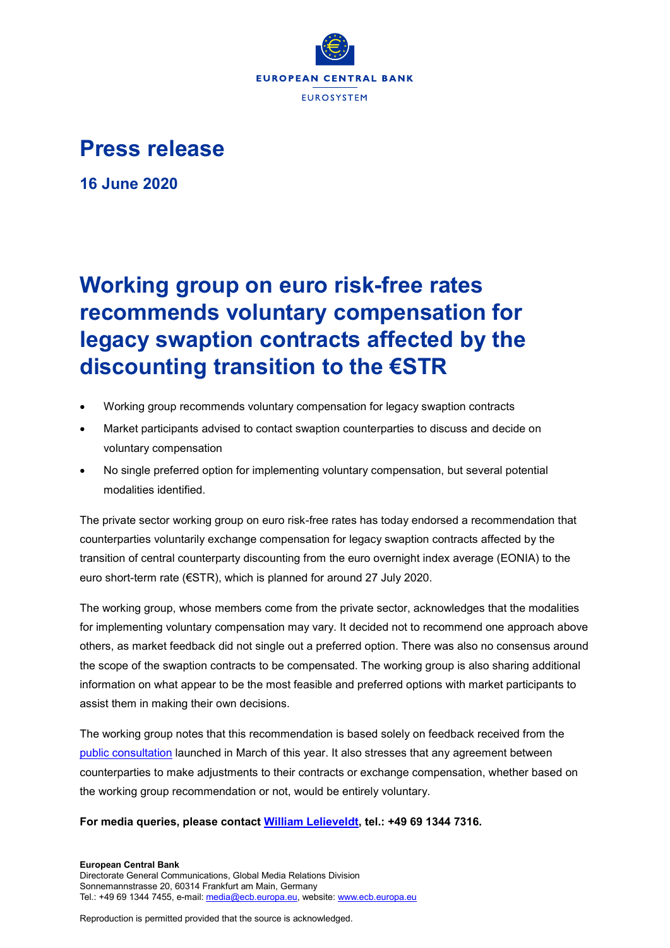

## **Press release**

**16 June 2020**

## **Working group on euro risk-free rates recommends voluntary compensation for legacy swaption contracts affected by the discounting transition to the €STR**

- Working group recommends voluntary compensation for legacy swaption contracts
- Market participants advised to contact swaption counterparties to discuss and decide on voluntary compensation
- No single preferred option for implementing voluntary compensation, but several potential modalities identified.

The private sector working group on euro risk-free rates has today endorsed a recommendation that counterparties voluntarily exchange compensation for legacy swaption contracts affected by the transition of central counterparty discounting from the euro overnight index average (EONIA) to the euro short-term rate (€STR), which is planned for around 27 July 2020.

The working group, whose members come from the private sector, acknowledges that the modalities for implementing voluntary compensation may vary. It decided not to recommend one approach above others, as market feedback did not single out a preferred option. There was also no consensus around the scope of the swaption contracts to be compensated. The working group is also sharing additional information on what appear to be the most feasible and preferred options with market participants to assist them in making their own decisions.

The working group notes that this recommendation is based solely on feedback received from the [public consultation](https://www.ecb.europa.eu/paym/cons/html/wg_euro_risk-free_rates_swaptions.en.html) launched in March of this year. It also stresses that any agreement between counterparties to make adjustments to their contracts or exchange compensation, whether based on the working group recommendation or not, would be entirely voluntary.

## **For media queries, please contact [William Lelieveldt,](mailto:william.lelieveldt@ecb.europa.eu) tel.: +49 69 1344 7316.**

**European Central Bank** Directorate General Communications, Global Media Relations Division Sonnemannstrasse 20, 60314 Frankfurt am Main, Germany Tel.: +49 69 1344 7455, e-mail[: media@ecb.europa.eu,](mailto:media@ecb.europa.eu) website[: www.ecb.europa.eu](http://www.ecb.europa.eu/)

Reproduction is permitted provided that the source is acknowledged.